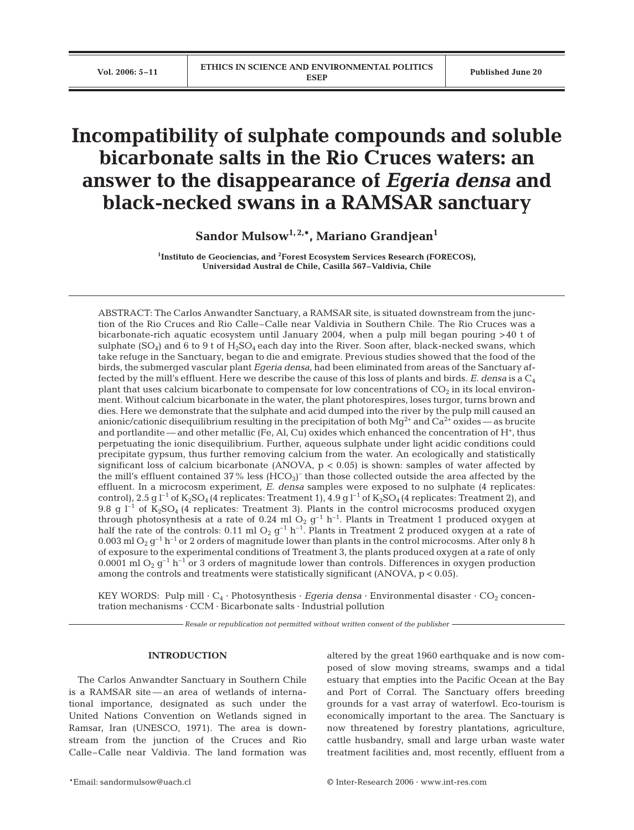# **Incompatibility of sulphate compounds and soluble bicarbonate salts in the Rio Cruces waters: an answer to the disappearance of** *Egeria densa* **and black-necked swans in a RAMSAR sanctuary**

**Sandor Mulsow1, 2,\*, Mariano Grandjean1**

<sup>1</sup>Instituto de Geociencias, and <sup>2</sup>Forest Ecosystem Services Research (FORECOS), **Universidad Austral de Chile, Casilla 567–Valdivia, Chile**

ABSTRACT: The Carlos Anwandter Sanctuary, a RAMSAR site, is situated downstream from the junction of the Rio Cruces and Rio Calle–Calle near Valdivia in Southern Chile. The Rio Cruces was a bicarbonate-rich aquatic ecosystem until January 2004, when a pulp mill began pouring >40 t of sulphate  $(SO<sub>4</sub>)$  and 6 to 9 t of  $H<sub>2</sub>SO<sub>4</sub>$  each day into the River. Soon after, black-necked swans, which take refuge in the Sanctuary, began to die and emigrate. Previous studies showed that the food of the birds, the submerged vascular plant *Egeria densa*, had been eliminated from areas of the Sanctuary affected by the mill's effluent. Here we describe the cause of this loss of plants and birds. *E. densa* is a C4 plant that uses calcium bicarbonate to compensate for low concentrations of  $CO<sub>2</sub>$  in its local environment. Without calcium bicarbonate in the water, the plant photorespires, loses turgor, turns brown and dies. Here we demonstrate that the sulphate and acid dumped into the river by the pulp mill caused an anionic/cationic disequilibrium resulting in the precipitation of both  $Mg^{2+}$  and  $Ca^{2+}$  oxides — as brucite and portlandite — and other metallic (Fe, Al, Cu) oxides which enhanced the concentration of H+, thus perpetuating the ionic disequilibrium. Further, aqueous sulphate under light acidic conditions could precipitate gypsum, thus further removing calcium from the water. An ecologically and statistically significant loss of calcium bicarbonate (ANOVA,  $p < 0.05$ ) is shown: samples of water affected by the mill's effluent contained  $37\%$  less (HCO<sub>3</sub>)<sup>-</sup> than those collected outside the area affected by the effluent. In a microcosm experiment, *E. densa* samples were exposed to no sulphate (4 replicates: control), 2.5 g  $l^{-1}$  of K<sub>2</sub>SO<sub>4</sub> (4 replicates: Treatment 1), 4.9 g  $l^{-1}$  of K<sub>2</sub>SO<sub>4</sub> (4 replicates: Treatment 2), and 9.8 g  $l^{-1}$  of  $K_2SO_4$  (4 replicates: Treatment 3). Plants in the control microcosms produced oxygen through photosynthesis at a rate of 0.24 ml  $O_2$  g<sup>-1</sup> h<sup>-1</sup>. Plants in Treatment 1 produced oxygen at half the rate of the controls: 0.11 ml  $O_2$  g<sup>-1</sup> h<sup>-1</sup>. Plants in Treatment 2 produced oxygen at a rate of 0.003 ml  $O_2$  g<sup>-1</sup> h<sup>-1</sup> or 2 orders of magnitude lower than plants in the control microcosms. After only 8 h of exposure to the experimental conditions of Treatment 3, the plants produced oxygen at a rate of only 0.0001 ml O<sub>2</sub>  $g^{-1}$  h<sup>-1</sup> or 3 orders of magnitude lower than controls. Differences in oxygen production among the controls and treatments were statistically significant (ANOVA,  $p < 0.05$ ).

KEY WORDS: Pulp mill  $\cdot C_4 \cdot$  Photosynthesis  $\cdot$  *Egeria densa*  $\cdot$  Environmental disaster  $\cdot$  CO<sub>2</sub> concentration mechanisms · CCM · Bicarbonate salts · Industrial pollution

*Resale or republication not permitted without written consent of the publisher*

### **INTRODUCTION**

The Carlos Anwandter Sanctuary in Southern Chile is a RAMSAR site — an area of wetlands of international importance, designated as such under the United Nations Convention on Wetlands signed in Ramsar, Iran (UNESCO, 1971). The area is downstream from the junction of the Cruces and Rio Calle–Calle near Valdivia. The land formation was

altered by the great 1960 earthquake and is now composed of slow moving streams, swamps and a tidal estuary that empties into the Pacific Ocean at the Bay and Port of Corral. The Sanctuary offers breeding grounds for a vast array of waterfowl. Eco-tourism is economically important to the area. The Sanctuary is now threatened by forestry plantations, agriculture, cattle husbandry, small and large urban waste water treatment facilities and, most recently, effluent from a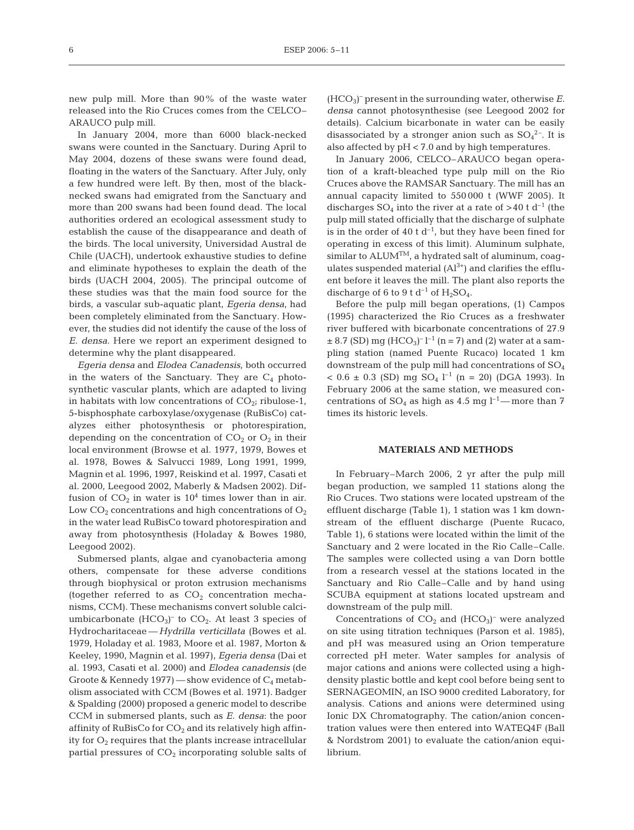new pulp mill. More than 90% of the waste water released into the Rio Cruces comes from the CELCO– ARAUCO pulp mill.

In January 2004, more than 6000 black-necked swans were counted in the Sanctuary. During April to May 2004, dozens of these swans were found dead, floating in the waters of the Sanctuary. After July, only a few hundred were left. By then, most of the blacknecked swans had emigrated from the Sanctuary and more than 200 swans had been found dead. The local authorities ordered an ecological assessment study to establish the cause of the disappearance and death of the birds. The local university, Universidad Austral de Chile (UACH), undertook exhaustive studies to define and eliminate hypotheses to explain the death of the birds (UACH 2004, 2005). The principal outcome of these studies was that the main food source for the birds, a vascular sub-aquatic plant, *Egeria densa,* had been completely eliminated from the Sanctuary*.* However, the studies did not identify the cause of the loss of *E. densa*. Here we report an experiment designed to determine why the plant disappeared.

*Egeria densa* and *Elodea Canadensis,* both occurred in the waters of the Sanctuary. They are  $C_4$  photosynthetic vascular plants, which are adapted to living in habitats with low concentrations of  $CO_{2i}$  ribulose-1, 5-bisphosphate carboxylase/oxygenase (RuBisCo) catalyzes either photosynthesis or photorespiration, depending on the concentration of  $CO<sub>2</sub>$  or  $O<sub>2</sub>$  in their local environment (Browse et al. 1977, 1979, Bowes et al. 1978, Bowes & Salvucci 1989, Long 1991, 1999, Magnin et al. 1996, 1997, Reiskind et al. 1997, Casati et al. 2000, Leegood 2002, Maberly & Madsen 2002). Diffusion of  $CO<sub>2</sub>$  in water is  $10<sup>4</sup>$  times lower than in air. Low  $CO<sub>2</sub>$  concentrations and high concentrations of  $O<sub>2</sub>$ in the water lead RuBisCo toward photorespiration and away from photosynthesis (Holaday & Bowes 1980, Leegood 2002).

Submersed plants, algae and cyanobacteria among others, compensate for these adverse conditions through biophysical or proton extrusion mechanisms (together referred to as  $CO<sub>2</sub>$  concentration mechanisms, CCM). These mechanisms convert soluble calciumbicarbonate  $(HCO<sub>3</sub>)<sup>-</sup>$  to  $CO<sub>2</sub>$ . At least 3 species of Hydrocharitaceae — *Hydrilla verticillata* (Bowes et al. 1979, Holaday et al. 1983, Moore et al. 1987, Morton & Keeley, 1990, Magnin et al. 1997), *Egeria densa* (Dai et al. 1993, Casati et al. 2000) and *Elodea canadensis* (de Groote & Kennedy  $1977$ ) — show evidence of  $C_4$  metabolism associated with CCM (Bowes et al. 1971). Badger & Spalding (2000) proposed a generic model to describe CCM in submersed plants, such as *E. densa*: the poor affinity of RuBisCo for  $CO<sub>2</sub>$  and its relatively high affinity for  $O_2$  requires that the plants increase intracellular partial pressures of  $CO<sub>2</sub>$  incorporating soluble salts of

(HCO3) – present in the surrounding water, otherwise *E. densa* cannot photosynthesise (see Leegood 2002 for details). Calcium bicarbonate in water can be easily disassociated by a stronger anion such as  $SO_4^2$ <sup>-</sup>. It is also affected by pH < 7.0 and by high temperatures.

In January 2006, CELCO–ARAUCO began operation of a kraft-bleached type pulp mill on the Rio Cruces above the RAMSAR Sanctuary. The mill has an annual capacity limited to 550 000 t (WWF 2005). It discharges  $SO_4$  into the river at a rate of  $>40$  t d<sup>-1</sup> (the pulp mill stated officially that the discharge of sulphate is in the order of 40 t  $d^{-1}$ , but they have been fined for operating in excess of this limit). Aluminum sulphate, similar to  $ALUM^{TM}$ , a hydrated salt of aluminum, coagulates suspended material  $(A<sup>3+</sup>)$  and clarifies the effluent before it leaves the mill. The plant also reports the discharge of 6 to 9 t d<sup>-1</sup> of  $H_2SO_4$ .

Before the pulp mill began operations, (1) Campos (1995) characterized the Rio Cruces as a freshwater river buffered with bicarbonate concentrations of 27.9  $\pm$  8.7 (SD) mg (HCO<sub>3</sub>)<sup>-</sup> l<sup>-1</sup> (n = 7) and (2) water at a sampling station (named Puente Rucaco) located 1 km downstream of the pulp mill had concentrations of  $SO<sub>4</sub>$  $< 0.6 \pm 0.3$  (SD) mg SO<sub>4</sub> l<sup>-1</sup> (n = 20) (DGA 1993). In February 2006 at the same station, we measured concentrations of SO<sub>4</sub> as high as 4.5 mg l<sup>-1</sup>—more than 7 times its historic levels.

#### **MATERIALS AND METHODS**

In February–March 2006, 2 yr after the pulp mill began production, we sampled 11 stations along the Rio Cruces. Two stations were located upstream of the effluent discharge (Table 1), 1 station was 1 km downstream of the effluent discharge (Puente Rucaco, Table 1), 6 stations were located within the limit of the Sanctuary and 2 were located in the Rio Calle–Calle. The samples were collected using a van Dorn bottle from a research vessel at the stations located in the Sanctuary and Rio Calle–Calle and by hand using SCUBA equipment at stations located upstream and downstream of the pulp mill.

Concentrations of  $CO<sub>2</sub>$  and  $(HCO<sub>3</sub>)$ <sup>-</sup> were analyzed on site using titration techniques (Parson et al. 1985), and pH was measured using an Orion temperature corrected pH meter. Water samples for analysis of major cations and anions were collected using a highdensity plastic bottle and kept cool before being sent to SERNAGEOMIN, an ISO 9000 credited Laboratory, for analysis. Cations and anions were determined using Ionic DX Chromatography. The cation/anion concentration values were then entered into WATEQ4F (Ball & Nordstrom 2001) to evaluate the cation/anion equilibrium.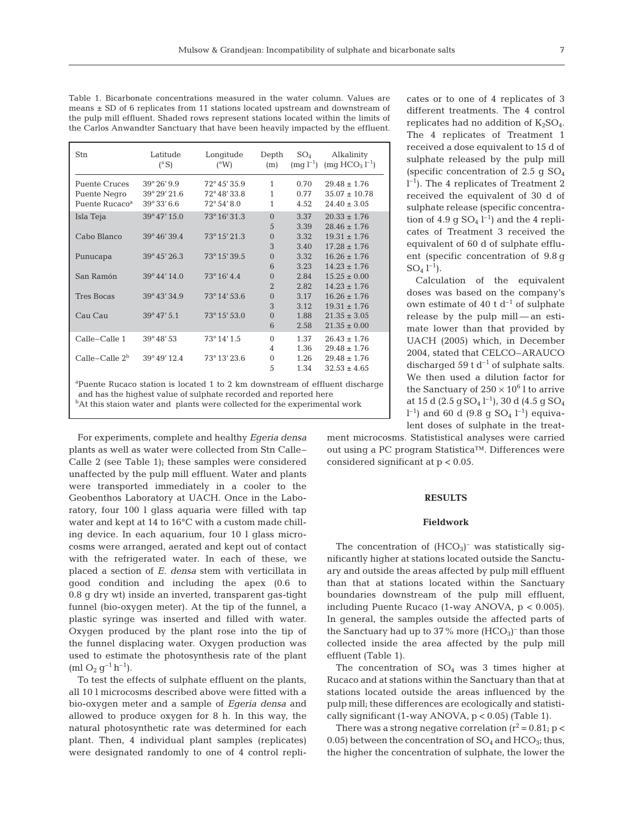| Table 1. Bicarbonate concentrations measured in the water column. Values are        |
|-------------------------------------------------------------------------------------|
| means $\pm$ SD of 6 replicates from 11 stations located upstream and downstream of  |
| the pulp mill effluent. Shaded rows represent stations located within the limits of |
| the Carlos Anwandter Sanctuary that have been heavily impacted by the effluent.     |
|                                                                                     |

| Stn                                                                                      | Latitude<br>$(^{\circ}S)$ | Longitude<br>(°W) | Depth<br>(m)   | $SO_4$ | Alkalinity<br>$\text{Im} q l^{-1}$ $\text{Im} q HCO_3 l^{-1}$ |  |  |
|------------------------------------------------------------------------------------------|---------------------------|-------------------|----------------|--------|---------------------------------------------------------------|--|--|
| <b>Puente Cruces</b>                                                                     | $39^{\circ}26'9.9$        | 72° 45' 35.9      | $\mathbf{1}$   | 0.70   | $29.48 \pm 1.76$                                              |  |  |
| Puente Negro                                                                             | 39° 29′ 21.6              | 72° 48' 33.8      | 1              | 0.77   | $35.07 \pm 10.78$                                             |  |  |
| Puente Rucaco <sup>a</sup>                                                               | $39^{\circ}33'6.6$        | 72° 54' 8.0       | 1              | 4.52   | $24.40 \pm 3.05$                                              |  |  |
| Isla Teja                                                                                | 39°47′15.0                | 73° 16' 31.3      | $\Omega$       | 3.37   | $20.33 \pm 1.76$                                              |  |  |
|                                                                                          |                           |                   | 5              | 3.39   | $28.46 \pm 1.76$                                              |  |  |
| Cabo Blanco                                                                              | 39°46′39.4                | 73° 15' 21.3      | $\overline{0}$ | 3.32   | $19.31 \pm 1.76$                                              |  |  |
|                                                                                          |                           |                   | 3              | 3.40   | $17.28 \pm 1.76$                                              |  |  |
| Punucapa                                                                                 | 39° 45' 26.3              | 73° 15' 39.5      | $\overline{0}$ | 3.32   | $16.26 \pm 1.76$                                              |  |  |
|                                                                                          |                           |                   | 6              | 3.23   | $14.23 \pm 1.76$                                              |  |  |
| San Ramón                                                                                | 39°44′14.0                | 73° 16' 4.4       | $\overline{0}$ | 2.84   | $15.25 \pm 0.00$                                              |  |  |
|                                                                                          |                           |                   | $\overline{2}$ | 2.82   | $14.23 \pm 1.76$                                              |  |  |
| <b>Tres Bocas</b>                                                                        | 39°43′34.9                | 73° 14' 53.6      | $\overline{0}$ | 3.17   | $16.26 \pm 1.76$                                              |  |  |
|                                                                                          |                           |                   | 3              | 3.12   | $19.31 \pm 1.76$                                              |  |  |
| Cau Cau                                                                                  | $39^{\circ}47'5.1$        | 73° 15' 53.0      | $\overline{0}$ | 1.88   | $21.35 \pm 3.05$                                              |  |  |
|                                                                                          |                           |                   | 6              | 2.58   | $21.35 \pm 0.00$                                              |  |  |
| Calle-Calle 1                                                                            | 39°48′53                  | 73° 14' 1.5       | $\theta$       | 1.37   | $26.43 \pm 1.76$                                              |  |  |
|                                                                                          |                           |                   | 4              | 1.36   | $29.48 \pm 1.76$                                              |  |  |
| $Calle-Calleb$                                                                           | 39°49′12.4                | 73° 13' 23.6      | $\mathbf{0}$   | 1.26   | $29.48 \pm 1.76$                                              |  |  |
|                                                                                          |                           |                   | 5              | 1.34   | $32.53 \pm 4.65$                                              |  |  |
| <sup>ap</sup> uente Rucaco station is located 1 to 2 km downstream of effluent discharge |                           |                   |                |        |                                                               |  |  |

Puente Rucaco station is located 1 to 2 km downstream of effluent discharge and has the highest value of sulphate recorded and reported here <sup>b</sup>At this staion water and plants were collected for the experimental work

For experiments, complete and healthy *Egeria densa* plants as well as water were collected from Stn Calle– Calle 2 (see Table 1); these samples were considered unaffected by the pulp mill effluent. Water and plants were transported immediately in a cooler to the Geobenthos Laboratory at UACH. Once in the Laboratory, four 100 l glass aquaria were filled with tap water and kept at 14 to 16°C with a custom made chilling device. In each aquarium, four 10 l glass microcosms were arranged, aerated and kept out of contact with the refrigerated water. In each of these, we placed a section of *E. densa* stem with verticillata in good condition and including the apex (0.6 to 0.8 g dry wt) inside an inverted, transparent gas-tight funnel (bio-oxygen meter). At the tip of the funnel, a plastic syringe was inserted and filled with water. Oxygen produced by the plant rose into the tip of the funnel displacing water. Oxygen production was used to estimate the photosynthesis rate of the plant  $(ml O<sub>2</sub> q<sup>-1</sup> h<sup>-1</sup>).$ 

To test the effects of sulphate effluent on the plants, all 10 l microcosms described above were fitted with a bio-oxygen meter and a sample of *Egeria densa* and allowed to produce oxygen for 8 h. In this way, the natural photosynthetic rate was determined for each plant. Then, 4 individual plant samples (replicates) were designated randomly to one of 4 control replicates or to one of 4 replicates of 3 different treatments. The 4 control replicates had no addition of  $K_2SO_4$ . The 4 replicates of Treatment 1 received a dose equivalent to 15 d of sulphate released by the pulp mill (specific concentration of 2.5 g  $SO<sub>4</sub>$ ) l –1). The 4 replicates of Treatment 2 received the equivalent of 30 d of sulphate release (specific concentration of  $4.9$  g  $SO_4$   $l^{-1}$ ) and the 4 replicates of Treatment 3 received the equivalent of 60 d of sulphate effluent (specific concentration of 9.8 g  $SO_4 1^{-1}$ ).

Calculation of the equivalent doses was based on the company's own estimate of 40 t  $d^{-1}$  of sulphate release by the pulp mill — an estimate lower than that provided by UACH (2005) which, in December 2004, stated that CELCO–ARAUCO discharged 59 t  $d^{-1}$  of sulphate salts. We then used a dilution factor for the Sanctuary of  $250 \times 10^6$  l to arrive at 15 d (2.5 g  $SO_4$  l<sup>-1</sup>), 30 d (4.5 g  $SO_4$  $\rm l^{-1})$  and 60 d (9.8 g SO $\rm_4$   $\rm l^{-1})$  equivalent doses of sulphate in the treat-

ment microcosms. Statististical analyses were carried out using a PC program Statistica™. Differences were considered significant at p < 0.05.

#### **RESULTS**

#### **Fieldwork**

The concentration of  $(HCO<sub>3</sub>)<sup>-</sup>$  was statistically significantly higher at stations located outside the Sanctuary and outside the areas affected by pulp mill effluent than that at stations located within the Sanctuary boundaries downstream of the pulp mill effluent, including Puente Rucaco (1-way ANOVA, p < 0.005). In general, the samples outside the affected parts of the Sanctuary had up to 37% more  $(HCO<sub>3</sub>)$ <sup>-</sup> than those collected inside the area affected by the pulp mill effluent (Table 1).

The concentration of  $SO_4$  was 3 times higher at Rucaco and at stations within the Sanctuary than that at stations located outside the areas influenced by the pulp mill; these differences are ecologically and statistically significant  $(1$ -way ANOVA,  $p < 0.05$ ) (Table 1).

There was a strong negative correlation  $(r^2 = 0.81; p <$ 0.05) between the concentration of  $SO_4$  and  $HCO_3$ ; thus, the higher the concentration of sulphate, the lower the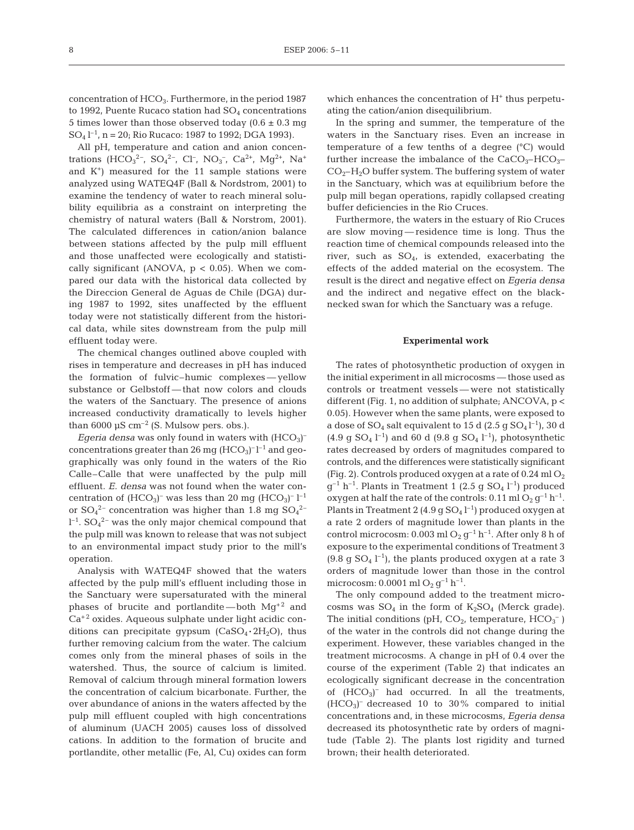concentration of HCO<sub>3</sub>. Furthermore, in the period 1987 to 1992, Puente Rucaco station had  $SO<sub>4</sub>$  concentrations 5 times lower than those observed today  $(0.6 \pm 0.3 \text{ mg})$  $SO_4$   $l^{-1}$ , n = 20; Rio Rucaco: 1987 to 1992; DGA 1993).

All pH, temperature and cation and anion concentrations (HCO<sub>3</sub><sup>2</sup>-, SO<sub>4</sub><sup>2</sup>-, Cl<sup>-</sup>, NO<sub>3</sub><sup>-</sup>, Ca<sup>2+</sup>, Mg<sup>2+</sup>, Na<sup>+</sup> and  $K^+$ ) measured for the 11 sample stations were analyzed using WATEQ4F (Ball & Nordstrom, 2001) to examine the tendency of water to reach mineral solubility equilibria as a constraint on interpreting the chemistry of natural waters (Ball & Norstrom, 2001). The calculated differences in cation/anion balance between stations affected by the pulp mill effluent and those unaffected were ecologically and statistically significant (ANOVA,  $p < 0.05$ ). When we compared our data with the historical data collected by the Direccion General de Aguas de Chile (DGA) during 1987 to 1992, sites unaffected by the effluent today were not statistically different from the historical data, while sites downstream from the pulp mill effluent today were.

The chemical changes outlined above coupled with rises in temperature and decreases in pH has induced the formation of fulvic–humic complexes — yellow substance or Gelbstoff — that now colors and clouds the waters of the Sanctuary. The presence of anions increased conductivity dramatically to levels higher than 6000  $\mu$ S cm<sup>-2</sup> (S. Mulsow pers. obs.).

Egeria densa was only found in waters with (HCO<sub>3</sub>)<sup>-</sup> concentrations greater than 26 mg  $(HCO<sub>3</sub>)<sup>-1<sup>-1</sup></sup>$  and geographically was only found in the waters of the Rio Calle–Calle that were unaffected by the pulp mill effluent. *E. densa* was not found when the water concentration of  $(HCO<sub>3</sub>)$ <sup>-</sup> was less than 20 mg  $(HCO<sub>3</sub>)$ <sup>-</sup> l<sup>-1</sup> or  $SO_4^2$ <sup>-</sup> concentration was higher than 1.8 mg  $SO_4^2$ <sup>-</sup>  $l^{-1}$ . SO<sub>4</sub><sup>2-</sup> was the only major chemical compound that the pulp mill was known to release that was not subject to an environmental impact study prior to the mill's operation.

Analysis with WATEQ4F showed that the waters affected by the pulp mill's effluent including those in the Sanctuary were supersaturated with the mineral phases of brucite and portlandite —both  $Mg^{+2}$  and  $Ca<sup>+2</sup>$  oxides. Aqueous sulphate under light acidic conditions can precipitate gypsum  $(CaSO_4 \cdot 2H_2O)$ , thus further removing calcium from the water. The calcium comes only from the mineral phases of soils in the watershed. Thus, the source of calcium is limited. Removal of calcium through mineral formation lowers the concentration of calcium bicarbonate. Further, the over abundance of anions in the waters affected by the pulp mill effluent coupled with high concentrations of aluminum (UACH 2005) causes loss of dissolved cations. In addition to the formation of brucite and portlandite, other metallic (Fe, Al, Cu) oxides can form

which enhances the concentration of  $H<sup>+</sup>$  thus perpetuating the cation/anion disequilibrium.

In the spring and summer, the temperature of the waters in the Sanctuary rises. Even an increase in temperature of a few tenths of a degree (°C) would further increase the imbalance of the  $CaCO<sub>3</sub>-HCO<sub>3</sub>$  $CO<sub>2</sub>–H<sub>2</sub>O$  buffer system. The buffering system of water in the Sanctuary, which was at equilibrium before the pulp mill began operations, rapidly collapsed creating buffer deficiencies in the Rio Cruces.

Furthermore, the waters in the estuary of Rio Cruces are slow moving — residence time is long. Thus the reaction time of chemical compounds released into the river, such as  $SO_4$ , is extended, exacerbating the effects of the added material on the ecosystem. The result is the direct and negative effect on *Egeria densa* and the indirect and negative effect on the blacknecked swan for which the Sanctuary was a refuge.

#### **Experimental work**

The rates of photosynthetic production of oxygen in the initial experiment in all microcosms — those used as controls or treatment vessels — were not statistically different (Fig. 1, no addition of sulphate; ANCOVA, p < 0.05). However when the same plants, were exposed to a dose of  $SO_4$  salt equivalent to 15 d (2.5 g  $SO_4$  l<sup>-1</sup>), 30 d  $(4.9 \text{ g } SO_4 \; \text{L}^{-1})$  and 60 d  $(9.8 \text{ g } SO_4 \; \text{L}^{-1})$ , photosynthetic rates decreased by orders of magnitudes compared to controls, and the differences were statistically significant (Fig. 2). Controls produced oxygen at a rate of  $0.24$  ml  $O<sub>2</sub>$  $g^{-1}$  h<sup>-1</sup>. Plants in Treatment 1 (2.5 g SO<sub>4</sub> l<sup>-1</sup>) produced oxygen at half the rate of the controls:  $0.11$  ml  $O_2$   $g^{-1}$  h<sup>-1</sup>. Plants in Treatment 2 (4.9 g  $SO_4$   $l^{-1}$ ) produced oxygen at a rate 2 orders of magnitude lower than plants in the control microcosm: 0.003 ml  $O_2$   $g^{-1}$  h<sup>-1</sup>. After only 8 h of exposure to the experimental conditions of Treatment 3  $(9.8 \text{ g SO}_4 \text{ }^{\{-1\}})$ , the plants produced oxygen at a rate 3 orders of magnitude lower than those in the control microcosm: 0.0001 ml  $O_2$   $q^{-1}$  h<sup>-1</sup>.

The only compound added to the treatment microcosms was  $SO_4$  in the form of  $K_2SO_4$  (Merck grade). The initial conditions (pH,  $CO<sub>2</sub>$ , temperature,  $HCO<sub>3</sub><sup>-</sup>$ ) of the water in the controls did not change during the experiment. However, these variables changed in the treatment microcosms. A change in pH of 0.4 over the course of the experiment (Table 2) that indicates an ecologically significant decrease in the concentration of  $(HCO<sub>3</sub>)<sup>-</sup>$  had occurred. In all the treatments,  $(HCO<sub>3</sub>)$ <sup>-</sup> decreased 10 to 30% compared to initial concentrations and, in these microcosms, *Egeria densa* decreased its photosynthetic rate by orders of magnitude (Table 2). The plants lost rigidity and turned brown; their health deteriorated.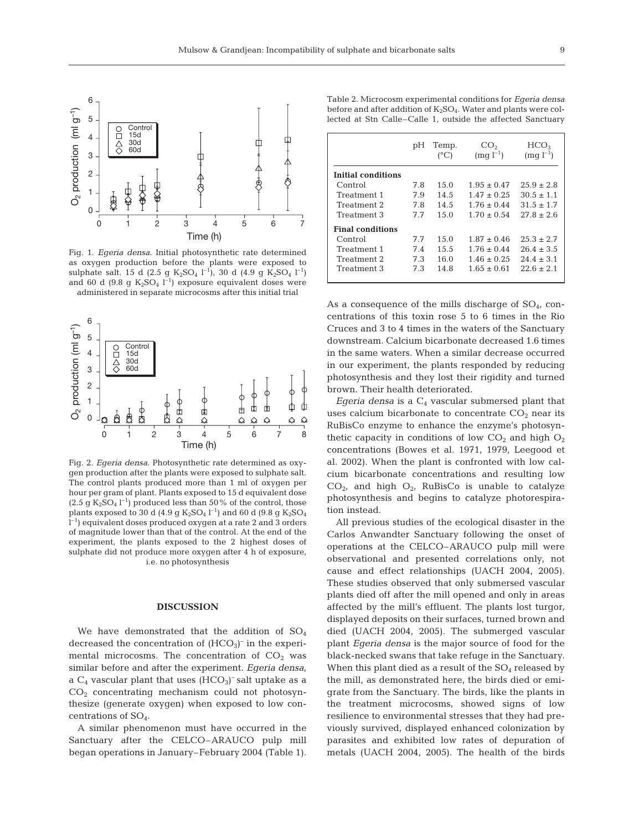

Fig. 1. *Egeria densa*. Initial photosynthetic rate determined as oxygen production before the plants were exposed to sulphate salt. 15 d (2.5 g  $K_2SO_4$  l<sup>-1</sup>), 30 d (4.9 g  $K_2SO_4$  l<sup>-1</sup>) and 60 d (9.8 g  $K_2SO_4$  l<sup>-1</sup>) exposure equivalent doses were administered in separate microcosms after this initial trial



Fig. 2. *Egeria densa*. Photosynthetic rate determined as oxygen production after the plants were exposed to sulphate salt. The control plants produced more than 1 ml of oxygen per hour per gram of plant. Plants exposed to 15 d equivalent dose  $(2.5 \text{ g } K_2\text{SO}_4 \text{ } l^{-1})$  produced less than 50% of the control, those plants exposed to 30 d (4.9 g  $\rm K_2SO_4$   $\rm l^{-1})$  and 60 d (9.8 g  $\rm K_2SO_4$  $l^{-1}$ ) equivalent doses produced oxygen at a rate 2 and 3 orders of magnitude lower than that of the control. At the end of the experiment, the plants exposed to the 2 highest doses of sulphate did not produce more oxygen after 4 h of exposure, i.e. no photosynthesis

## **DISCUSSION**

We have demonstrated that the addition of  $SO<sub>4</sub>$ decreased the concentration of  $(HCO<sub>3</sub>)<sup>-</sup>$  in the experimental microcosms. The concentration of  $CO<sub>2</sub>$  was similar before and after the experiment. *Egeria densa*, a  $C_4$  vascular plant that uses  $(HCO_3)$ <sup>-</sup> salt uptake as a CO2 concentrating mechanism could not photosynthesize (generate oxygen) when exposed to low concentrations of SO4.

A similar phenomenon must have occurred in the Sanctuary after the CELCO–ARAUCO pulp mill began operations in January–February 2004 (Table 1).

Table 2. Microcosm experimental conditions for *Egeria densa* before and after addition of  $K_2SO_4$ . Water and plants were collected at Stn Calle–Calle 1, outside the affected Sanctuary

|                         | pH  | Temp.<br>(°C) | CO <sub>2</sub><br>$(mq l^{-1})$ | HCO <sub>3</sub><br>$(mq l^{-1})$ |
|-------------------------|-----|---------------|----------------------------------|-----------------------------------|
| Initial conditions      |     |               |                                  |                                   |
| Control                 | 7.8 | 15.0          | $1.95 + 0.47$                    | $25.9 + 2.8$                      |
| Treatment 1             | 7.9 | 14.5          | $1.47 \pm 0.25$                  | $30.5 \pm 1.1$                    |
| Treatment 2             | 7.8 | 14.5          | $1.76 + 0.44$                    | $31.5 + 1.7$                      |
| Treatment 3             | 77  | 15.0          | $1.70 + 0.54$                    | $27.8 + 2.6$                      |
| <b>Final conditions</b> |     |               |                                  |                                   |
| Control                 | 7.7 | 15.0          | $1.87 \pm 0.46$                  | $25.3 \pm 2.7$                    |
| Treatment 1             | 7.4 | 15.5          | $1.76 + 0.44$                    | $26.4 + 3.5$                      |
| Treatment 2             | 7.3 | 16.0          | $1.46 \pm 0.25$                  | $24.4 \pm 3.1$                    |
| Treatment 3             | 7.3 | 14.8          | $1.65 + 0.61$                    | $22.6 \pm 2.1$                    |

As a consequence of the mills discharge of  $SO<sub>4</sub>$ , concentrations of this toxin rose 5 to 6 times in the Rio Cruces and 3 to 4 times in the waters of the Sanctuary downstream. Calcium bicarbonate decreased 1.6 times in the same waters. When a similar decrease occurred in our experiment, the plants responded by reducing photosynthesis and they lost their rigidity and turned brown. Their health deteriorated.

*Egeria densa* is a  $C_4$  vascular submersed plant that uses calcium bicarbonate to concentrate  $CO<sub>2</sub>$  near its RuBisCo enzyme to enhance the enzyme's photosynthetic capacity in conditions of low  $CO<sub>2</sub>$  and high  $O<sub>2</sub>$ concentrations (Bowes et al. 1971, 1979, Leegood et al. 2002). When the plant is confronted with low calcium bicarbonate concentrations and resulting low  $CO<sub>2</sub>$ , and high  $O<sub>2</sub>$ , RuBisCo is unable to catalyze photosynthesis and begins to catalyze photorespiration instead.

All previous studies of the ecological disaster in the Carlos Anwandter Sanctuary following the onset of operations at the CELCO–ARAUCO pulp mill were observational and presented correlations only, not cause and effect relationships (UACH 2004, 2005). These studies observed that only submersed vascular plants died off after the mill opened and only in areas affected by the mill's effluent. The plants lost turgor, displayed deposits on their surfaces, turned brown and died (UACH 2004, 2005). The submerged vascular plant *Egeria densa* is the major source of food for the black-necked swans that take refuge in the Sanctuary. When this plant died as a result of the  $SO<sub>4</sub>$  released by the mill, as demonstrated here, the birds died or emigrate from the Sanctuary. The birds, like the plants in the treatment microcosms, showed signs of low resilience to environmental stresses that they had previously survived, displayed enhanced colonization by parasites and exhibited low rates of depuration of metals (UACH 2004, 2005). The health of the birds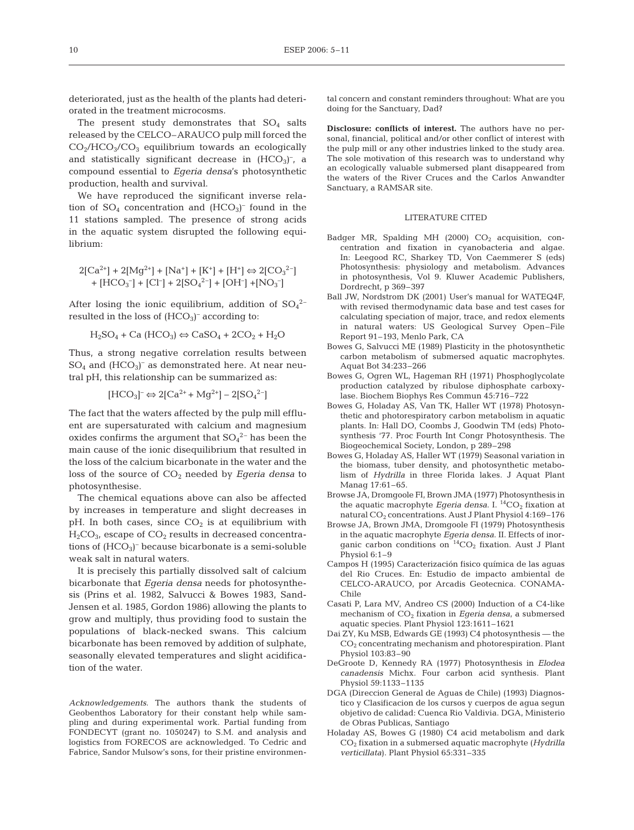deteriorated, just as the health of the plants had deteriorated in the treatment microcosms.

The present study demonstrates that  $SO_4$  salts released by the CELCO–ARAUCO pulp mill forced the  $CO<sub>2</sub>/HCO<sub>3</sub>/CO<sub>3</sub>$  equilibrium towards an ecologically and statistically significant decrease in  $(HCO<sub>3</sub>)$ <sup>-</sup>, a compound essential to *Egeria densa*'s photosynthetic production, health and survival.

We have reproduced the significant inverse relation of  $SO_4$  concentration and  $(HCO_3)$ <sup>-</sup> found in the 11 stations sampled. The presence of strong acids in the aquatic system disrupted the following equilibrium:

$$
2[Ca^{2+}] + 2[Mg^{2+}] + [Na^{+}] + [K^{+}] + [H^{+}] \Leftrightarrow 2[CO_{3}^{2-}] + [HCO_{3}^-] + [Cl^{-}] + 2[SO_{4}^{2-}] + [OH^{-}] + [NO_{3}^-]
$$

After losing the ionic equilibrium, addition of  $SO_4^2$ resulted in the loss of  $(HCO<sub>3</sub>)<sup>-</sup>$  according to:

$$
H_2SO_4 + Ca (HCO_3) \Leftrightarrow CaSO_4 + 2CO_2 + H_2O
$$

Thus, a strong negative correlation results between  $SO_4$  and  $(HCO_3)$ <sup>-</sup> as demonstrated here. At near neutral pH, this relationship can be summarized as:

$$
[HCO_3]^{-} \Leftrightarrow 2[Ca^{2+} + Mg^{2+}] - 2[SO_4^{2-}]
$$

The fact that the waters affected by the pulp mill effluent are supersaturated with calcium and magnesium oxides confirms the argument that  $SO_4^2$ <sup>-</sup> has been the main cause of the ionic disequilibrium that resulted in the loss of the calcium bicarbonate in the water and the loss of the source of  $CO<sub>2</sub>$  needed by *Egeria densa* to photosynthesise.

The chemical equations above can also be affected by increases in temperature and slight decreases in pH. In both cases, since  $CO<sub>2</sub>$  is at equilibrium with  $H_2CO_{3}$ , escape of  $CO_2$  results in decreased concentrations of (HCO<sub>3</sub>)<sup>-</sup> because bicarbonate is a semi-soluble weak salt in natural waters.

It is precisely this partially dissolved salt of calcium bicarbonate that *Egeria densa* needs for photosynthesis (Prins et al. 1982, Salvucci & Bowes 1983, Sand-Jensen et al. 1985, Gordon 1986) allowing the plants to grow and multiply, thus providing food to sustain the populations of black-necked swans. This calcium bicarbonate has been removed by addition of sulphate, seasonally elevated temperatures and slight acidification of the water.

*Acknowledgements.* The authors thank the students of Geobenthos Laboratory for their constant help while sampling and during experimental work. Partial funding from FONDECYT (grant no. 1050247) to S.M. and analysis and logistics from FORECOS are acknowledged. To Cedric and Fabrice, Sandor Mulsow's sons, for their pristine environmental concern and constant reminders throughout: What are you doing for the Sanctuary, Dad?

**Disclosure: conflicts of interest.** The authors have no personal, financial, political and/or other conflict of interest with the pulp mill or any other industries linked to the study area. The sole motivation of this research was to understand why an ecologically valuable submersed plant disappeared from the waters of the River Cruces and the Carlos Anwandter Sanctuary, a RAMSAR site.

## LITERATURE CITED

- Badger MR, Spalding MH (2000)  $CO<sub>2</sub>$  acquisition, concentration and fixation in cyanobacteria and algae. In: Leegood RC, Sharkey TD, Von Caemmerer S (eds) Photosynthesis: physiology and metabolism. Advances in photosynthesis, Vol 9. Kluwer Academic Publishers, Dordrecht, p 369–397
- Ball JW, Nordstrom DK (2001) User's manual for WATEQ4F, with revised thermodynamic data base and test cases for calculating speciation of major, trace, and redox elements in natural waters: US Geological Survey Open–File Report 91–193, Menlo Park, CA
- Bowes G, Salvucci ME (1989) Plasticity in the photosynthetic carbon metabolism of submersed aquatic macrophytes. Aquat Bot 34:233–266
- Bowes G, Ogren WL, Hageman RH (1971) Phosphoglycolate production catalyzed by ribulose diphosphate carboxylase. Biochem Biophys Res Commun 45:716–722
- Bowes G, Holaday AS, Van TK, Haller WT (1978) Photosynthetic and photorespiratory carbon metabolism in aquatic plants. In: Hall DO, Coombs J, Goodwin TM (eds) Photosynthesis '77. Proc Fourth Int Congr Photosynthesis. The Biogeochemical Society, London, p 289–298
- Bowes G, Holaday AS, Haller WT (1979) Seasonal variation in the biomass, tuber density, and photosynthetic metabolism of *Hydrilla* in three Florida lakes. J Aquat Plant Manag 17:61–65.
- Browse JA, Dromgoole FI, Brown JMA (1977) Photosynthesis in the aquatic macrophyte  $Egeria$  densa. I.  $^{14}\mathrm{CO}_2$  fixation at natural CO<sub>2</sub> concentrations. Aust J Plant Physiol 4:169-176
- Browse JA, Brown JMA, Dromgoole FI (1979) Photosynthesis in the aquatic macrophyte *Egeria densa*. II. Effects of inorganic carbon conditions on  ${}^{14}CO_2$  fixation. Aust J Plant Physiol 6:1–9
- Campos H (1995) Caracterización fisico química de las aguas del Rio Cruces. En: Estudio de impacto ambiental de CELCO-ARAUCO, por Arcadis Geotecnica. CONAMA-Chile
- Casati P, Lara MV, Andreo CS (2000) Induction of a C4-like mechanism of CO2 fixation in *Egeria densa*, a submersed aquatic species. Plant Physiol 123:1611–1621
- Dai ZY, Ku MSB, Edwards GE (1993) C4 photosynthesis the CO2 concentrating mechanism and photorespiration. Plant Physiol 103:83–90
- DeGroote D, Kennedy RA (1977) Photosynthesis in *Elodea canadensis* Michx. Four carbon acid synthesis. Plant Physiol 59:1133–1135
- DGA (Direccion General de Aguas de Chile) (1993) Diagnostico y Clasificacion de los cursos y cuerpos de agua segun objetivo de calidad: Cuenca Rio Valdivia. DGA, Ministerio de Obras Publicas, Santiago
- Holaday AS, Bowes G (1980) C4 acid metabolism and dark CO<sub>2</sub> fixation in a submersed aquatic macrophyte (*Hydrilla*) *verticillata*). Plant Physiol 65:331–335